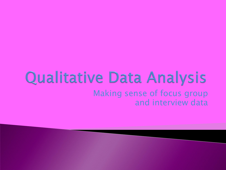#### Qualitative Data Analysis Making sense of focus group and interview data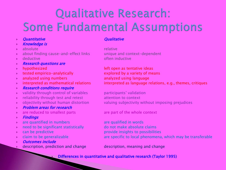## Qualitative Research: Some Fundamental Assumptions

- **Auxiliarity Cuantitative Cuantitative** Cuantitative Cuantitative Cuantitative Cuantitative
- **Knowledge is**
- **absolute** relative relative
- about finding cause-and-effect links unique and context-dependent
- 
- **Research questions are**
- 
- $\rightarrow$  tested empirico-analytically explored by a variety of means
- **analyzed using numbers** analyzed using language analyzed using language
- 
- Research conditions require
- validity through control of variables participants' validation
- $\rightarrow$  reliability through test and retest attention to context
- 
- Problem areas for research
- are reduced to smallest parts are part of the whole context
- Findings
- $\rightarrow$  are quantified in numbers are qualified in words
- need to be significant statistically because to not make absolute claims
- 
- 
- Outcomes include
- description, prediction and change description, meaning and change

**deductive often inductive** 

**hypothesized left open as tentative ideas**  $\rightarrow$  interpreted as mathematical relations interpreted as language relations, e.g., themes, critiques

objectivity without human distortion valuing subjectivity without imposing prejudices

 $\triangleright$  can be predictive provide insights to possibilities  $\rightarrow$  claim to be generalizable are specific to local phenomena, which may be transferable

Differences in quantitative and qualitative research (Taylor 1995)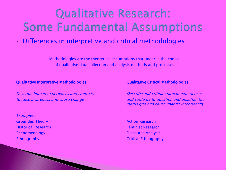### Qualitative Research: Some Fundamental Assumptions

#### Differences in interpretive and critical methodologies

Methodologies are the theoretical assumptions that underlie the choice of qualitative data collection and analysis methods and processes

#### Qualitative Interpretive Methodologies Qualitative Critical Methodologies

Describe human experiences and contexts Describe and critique human experiences

Examples: **Grounded Theory Action Research Action Research Historical Research Feminist Research Feminist Research Phenomenology** Discourse Analysis

to raise awareness and cause change and contexts to question and unsettle the status quo and cause change intentionally

Ethnography Critical Ethnography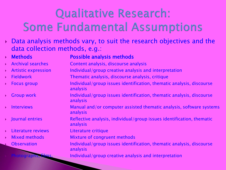## **Qualitative Research:** Some Fundamental Assumptions

 Data analysis methods vary, to suit the research objectives and the data collection methods, e.g.:

|    | <b>Methods</b>             | <b>Possible analysis methods</b>                                                  |
|----|----------------------------|-----------------------------------------------------------------------------------|
|    | <b>Archival searches</b>   | Content analysis, discourse analysis                                              |
| k. | <b>Artistic expression</b> | Individual/group creative analysis and interpretation                             |
| Ы  | <b>Fieldwork</b>           | Thematic analysis, discourse analysis, critique                                   |
|    | <b>Focus group</b>         | Individual/group issues identification, thematic analysis, discourse<br>analysis  |
|    | <b>Group work</b>          | Individual/group issues identification, thematic analysis, discourse<br>analysis  |
|    | <b>Interviews</b>          | Manual and/or computer assisted thematic analysis, software systems<br>analysis   |
|    | Journal entries            | Reflective analysis, individual/group issues identification, thematic<br>analysis |
|    | Literature reviews         | Literature critique                                                               |
|    | <b>Mixed methods</b>       | Mixture of congruent methods                                                      |
| U. | <b>Observation</b>         | Individual/group issues identification, thematic analysis, discourse<br>analysis  |
|    |                            | Individual/group creative analysis and interpretation                             |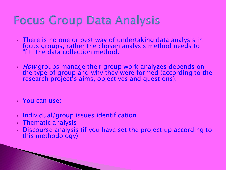#### **Focus Group Data Analysis**

- There is no one or best way of undertaking data analysis in focus groups, rather the chosen analysis method needs to "fit" the data collection method.
- $\rightarrow$  *How* groups manage their group work analyzes depends on the type of group and why they were formed (according to the research project's aims, objectives and questions).
- ▶ You can use:
- Individual/group issues identification
- **▶ Thematic analysis**
- Discourse analysis (if you have set the project up according to this methodology)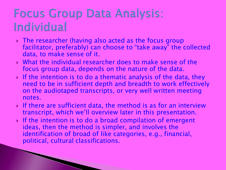#### **Focus Group Data Analysis:** Individual

- The researcher (having also acted as the focus group facilitator, preferably) can choose to "take away" the collected data, to make sense of it.
- What the individual researcher does to make sense of the focus group data, depends on the nature of the data.
- If the intention is to do a thematic analysis of the data, they need to be in sufficient depth and breadth to work effectively on the audiotaped transcripts, or very well written meeting notes.
- If there are sufficient data, the method is as for an interview transcript, which we"ll overview later in this presentation.
- If the intention is to do a broad compilation of emergent ideas, then the method is simpler, and involves the identification of broad of like categories, e.g., financial, political, cultural classifications.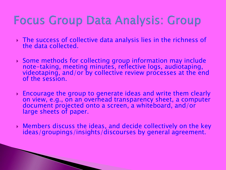### Focus Group Data Analysis: Group

- The success of collective data analysis lies in the richness of the data collected.
- Some methods for collecting group information may include note-taking, meeting minutes, reflective logs, audiotaping, videotaping, and/or by collective review processes at the end of the session.
- Encourage the group to generate ideas and write them clearly on view, e.g., on an overhead transparency sheet, a computer document projected onto a screen, a whiteboard, and/or large sheets of paper.
- Members discuss the ideas, and decide collectively on the key ideas/groupings/insights/discourses by general agreement.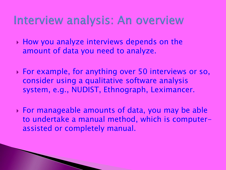#### Interview analysis: An overview

- ▶ How you analyze interviews depends on the amount of data you need to analyze.
- For example, for anything over 50 interviews or so, consider using a qualitative software analysis system, e.g., NUDIST, Ethnograph, Leximancer.
- For manageable amounts of data, you may be able to undertake a manual method, which is computerassisted or completely manual.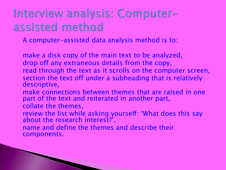### Interview analysis: Computerassisted method

A computer-assisted data analysis method is to:

make a disk copy of the main text to be analyzed, drop off any extraneous details from the copy, read through the text as it scrolls on the computer screen, section the text off under a subheading that is relatively descriptive,

- make connections between themes that are raised in one part of the text and reiterated in another part, collate the themes,
- review the list while asking yourself: "What does this say about the research interest?<sup>'</sup>,
- name and define the themes and describe their components.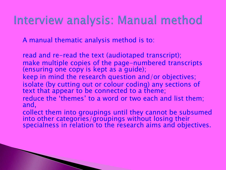#### Interview analysis: Manual method

A manual thematic analysis method is to:

read and re-read the text (audiotaped transcript); make multiple copies of the page-numbered transcripts (ensuring one copy is kept as a guide); keep in mind the research question and/or objectives; isolate (by cutting out or colour coding) any sections of text that appear to be connected to a theme; reduce the 'themes' to a word or two each and list them; and,

collect them into groupings until they cannot be subsumed into other categories/groupings without losing their specialness in relation to the research aims and objectives.